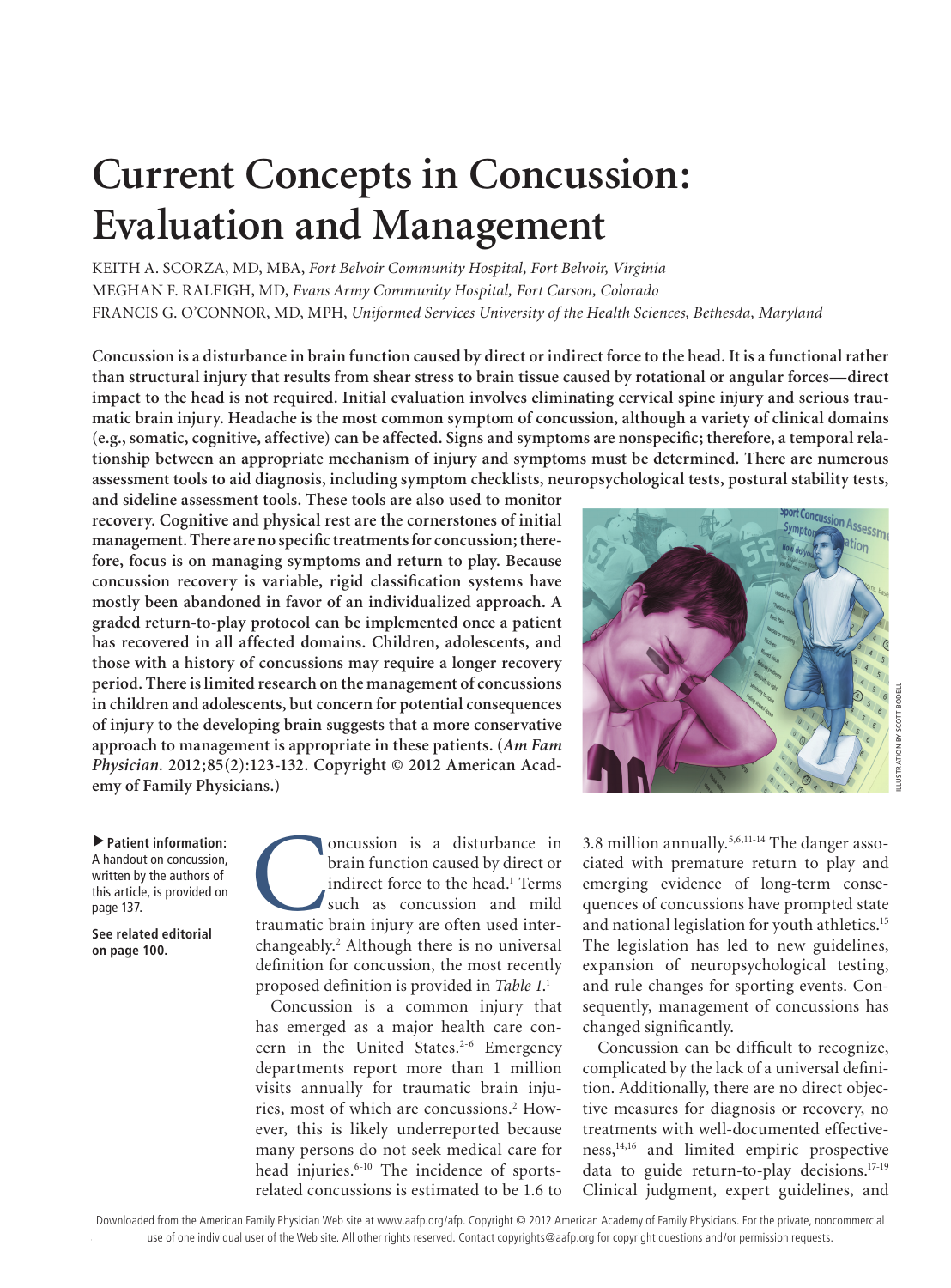# **Current Concepts in Concussion: Evaluation and Management**

KEITH A. SCORZA, MD, MBA, *Fort Belvoir Community Hospital, Fort Belvoir, Virginia* MEGHAN F. RALEIGH, MD, *Evans Army Community Hospital, Fort Carson, Colorado* FRANCIS G. O'CONNOR, MD, MPH, *Uniformed Services University of the Health Sciences, Bethesda, Maryland*

**Concussion is a disturbance in brain function caused by direct or indirect force to the head. It is a functional rather than structural injury that results from shear stress to brain tissue caused by rotational or angular forces—direct impact to the head is not required. Initial evaluation involves eliminating cervical spine injury and serious traumatic brain injury. Headache is the most common symptom of concussion, although a variety of clinical domains (e.g., somatic, cognitive, affective) can be affected. Signs and symptoms are nonspecific; therefore, a temporal relationship between an appropriate mechanism of injury and symptoms must be determined. There are numerous assessment tools to aid diagnosis, including symptom checklists, neuropsychological tests, postural stability tests,** 

**and sideline assessment tools. These tools are also used to monitor recovery. Cognitive and physical rest are the cornerstones of initial management. There are no specific treatments for concussion; therefore, focus is on managing symptoms and return to play. Because concussion recovery is variable, rigid classification systems have mostly been abandoned in favor of an individualized approach. A graded return-to-play protocol can be implemented once a patient has recovered in all affected domains. Children, adolescents, and those with a history of concussions may require a longer recovery period. There is limited research on the management of concussions in children and adolescents, but concern for potential consequences of injury to the developing brain suggests that a more conservative approach to management is appropriate in these patients. (***Am Fam Physician.* **2012;85(2):123-132. Copyright © 2012 American Academy of Family Physicians.)**

ncussion Assessme tion USTRATION BY SCOTT BOI

ILLUSTRATION BY SCOTT BODELL

▲**Patient information:**  A handout on concussion, written by the authors of this article, is provided on page 137.

**See related editorial on page 100.**

oncussion is a disturbance in<br>
brain function caused by direct or<br>
indirect force to the head.<sup>1</sup> Terms<br>
such as concussion and mild<br>
traumatic brain injury are often used interbrain function caused by direct or indirect force to the head.<sup>1</sup> Terms such as concussion and mild changeably.2 Although there is no universal definition for concussion, the most recently proposed definition is provided in *Table 1*. 1

Concussion is a common injury that has emerged as a major health care concern in the United States.<sup>2-6</sup> Emergency departments report more than 1 million visits annually for traumatic brain injuries, most of which are concussions.<sup>2</sup> However, this is likely underreported because many persons do not seek medical care for head injuries.<sup>6-10</sup> The incidence of sportsrelated concussions is estimated to be 1.6 to

3.8 million annually.5,6,11-14 The danger associated with premature return to play and emerging evidence of long-term consequences of concussions have prompted state and national legislation for youth athletics.15 The legislation has led to new guidelines, expansion of neuropsychological testing, and rule changes for sporting events. Consequently, management of concussions has changed significantly.

Concussion can be difficult to recognize, complicated by the lack of a universal definition. Additionally, there are no direct objective measures for diagnosis or recovery, no treatments with well-documented effectiveness,14,16 and limited empiric prospective data to guide return-to-play decisions.17-19 Clinical judgment, expert guidelines, and

use of one individual user of the Web site. All other rights reserved. Contact copyrights@aafp.org for copyright questions and/or permission requests. Downloaded from the American Family Physician Web site at www.aafp.org/afp. Copyright © 2012 American Academy of Family Physicians. For the private, noncommercial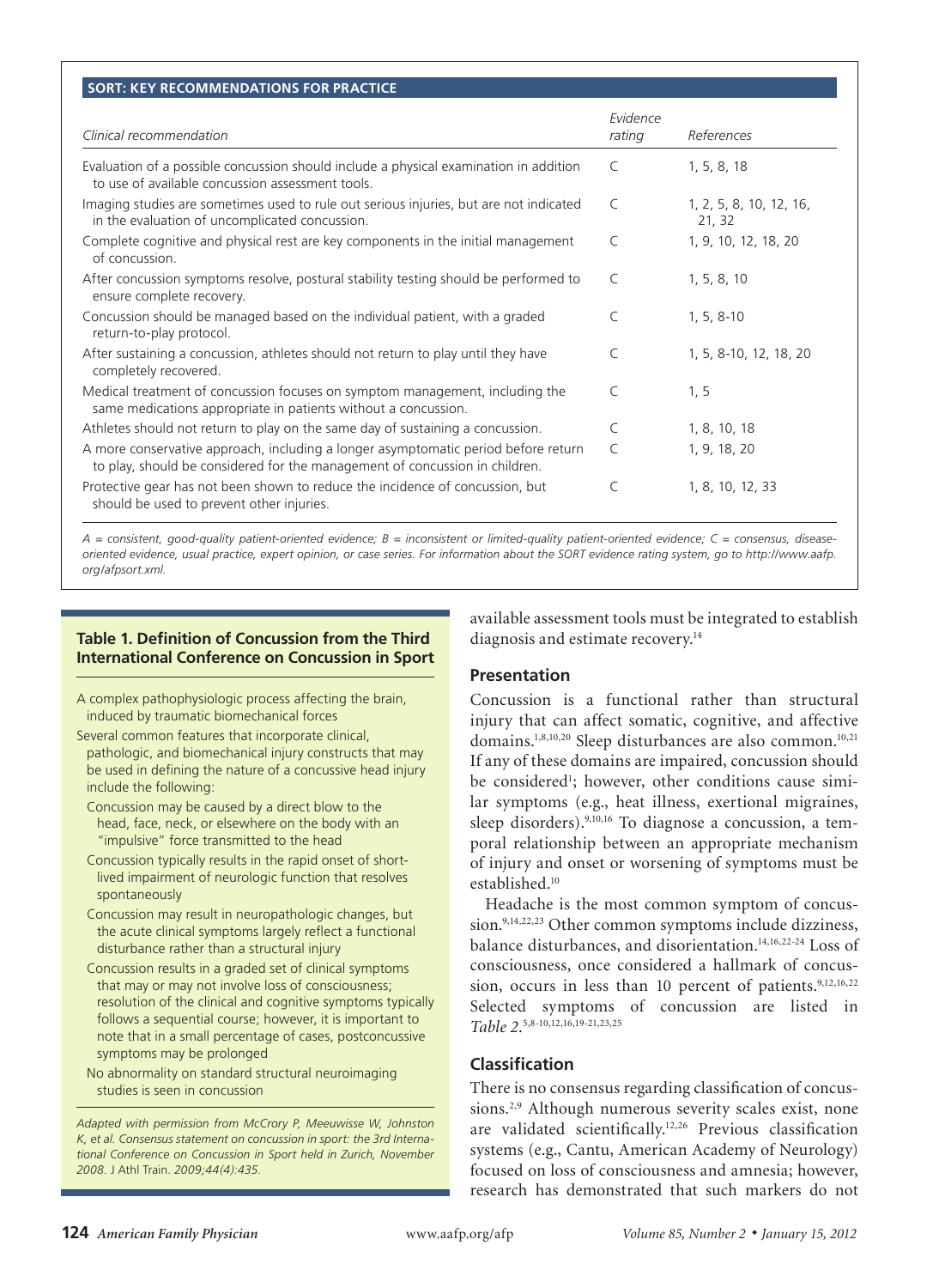#### **SORT: KEY RECOMMENDATIONS FOR PRACTICE**

**Concussion**

| Evidence<br>rating | References                        |
|--------------------|-----------------------------------|
| $\mathcal{C}$      | 1, 5, 8, 18                       |
| $\mathsf{C}$       | 1, 2, 5, 8, 10, 12, 16,<br>21, 32 |
| $\mathcal{C}$      | 1, 9, 10, 12, 18, 20              |
| $\mathsf{C}$       | 1, 5, 8, 10                       |
| $\mathcal{C}$      | $1, 5, 8-10$                      |
| $\mathsf{C}$       | 1, 5, 8-10, 12, 18, 20            |
| $\mathcal{C}$      | 1, 5                              |
| $\subset$          | 1, 8, 10, 18                      |
| $\mathsf{C}$       | 1, 9, 18, 20                      |
| C                  | 1, 8, 10, 12, 33                  |
|                    |                                   |

*A = consistent, good-quality patient-oriented evidence; B = inconsistent or limited-quality patient-oriented evidence; C = consensus, diseaseoriented evidence, usual practice, expert opinion, or case series. For information about the SORT evidence rating system, go to http://www.aafp. org/afpsort.xml.*

## **Table 1. Definition of Concussion from the Third International Conference on Concussion in Sport**

- A complex pathophysiologic process affecting the brain, induced by traumatic biomechanical forces
- Several common features that incorporate clinical, pathologic, and biomechanical injury constructs that may be used in defining the nature of a concussive head injury include the following:
	- Concussion may be caused by a direct blow to the head, face, neck, or elsewhere on the body with an "impulsive" force transmitted to the head
	- Concussion typically results in the rapid onset of shortlived impairment of neurologic function that resolves spontaneously
	- Concussion may result in neuropathologic changes, but the acute clinical symptoms largely reflect a functional disturbance rather than a structural injury
	- Concussion results in a graded set of clinical symptoms that may or may not involve loss of consciousness; resolution of the clinical and cognitive symptoms typically follows a sequential course; however, it is important to note that in a small percentage of cases, postconcussive symptoms may be prolonged

No abnormality on standard structural neuroimaging studies is seen in concussion

*Adapted with permission from McCrory P, Meeuwisse W, Johnston K, et al. Consensus statement on concussion in sport: the 3rd International Conference on Concussion in Sport held in Zurich, November 2008.* J Athl Train. *2009;44(4):435.*

available assessment tools must be integrated to establish diagnosis and estimate recovery.<sup>14</sup>

## **Presentation**

Concussion is a functional rather than structural injury that can affect somatic, cognitive, and affective domains.<sup>1,8,10,20</sup> Sleep disturbances are also common.<sup>10,21</sup> If any of these domains are impaired, concussion should be considered<sup>1</sup>; however, other conditions cause similar symptoms (e.g., heat illness, exertional migraines, sleep disorders).<sup>9,10,16</sup> To diagnose a concussion, a temporal relationship between an appropriate mechanism of injury and onset or worsening of symptoms must be established.10

Headache is the most common symptom of concussion.<sup>9,14,22,23</sup> Other common symptoms include dizziness, balance disturbances, and disorientation.<sup>14,16,22-24</sup> Loss of consciousness, once considered a hallmark of concussion, occurs in less than 10 percent of patients.<sup>9,12,16,22</sup> Selected symptoms of concussion are listed in *Table 2*. 5,8-10,12,16,19-21,23,25

# **Classification**

There is no consensus regarding classification of concussions.<sup>2,9</sup> Although numerous severity scales exist, none are validated scientifically.12,26 Previous classification systems (e.g., Cantu, American Academy of Neurology) focused on loss of consciousness and amnesia; however, research has demonstrated that such markers do not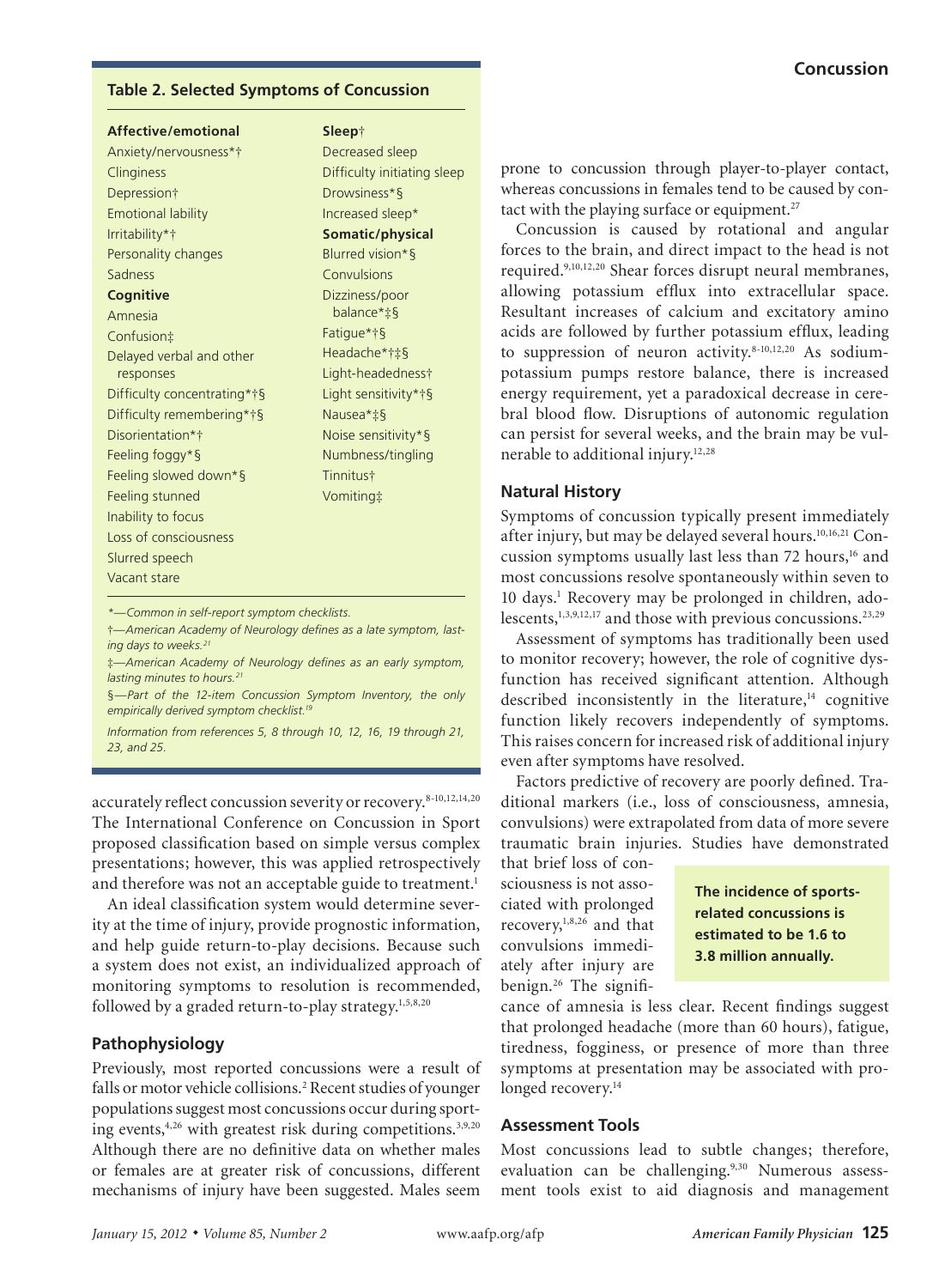#### **Table 2. Selected Symptoms of Concussion**

| Affective/emotional         | Sleep†                      |  |
|-----------------------------|-----------------------------|--|
| Anxiety/nervousness*†       | Decreased sleep             |  |
| Clinginess                  | Difficulty initiating sleep |  |
| Depression†                 | Drowsiness*§                |  |
| <b>Emotional lability</b>   | Increased sleep*            |  |
| Irritability*†              | Somatic/physical            |  |
| Personality changes         | Blurred vision*§            |  |
| Sadness                     | Convulsions                 |  |
| Cognitive                   | Dizziness/poor              |  |
| Amnesia                     | balance*‡§                  |  |
| Confusion‡                  | Fatigue*†§                  |  |
| Delayed verbal and other    | Headache*†‡§                |  |
| responses                   | Light-headedness†           |  |
| Difficulty concentrating*†§ | Light sensitivity*†§        |  |
| Difficulty remembering*†§   | Nausea*‡§                   |  |
| Disorientation*†            | Noise sensitivity*§         |  |
| Feeling foggy*§             | Numbness/tingling           |  |
| Feeling slowed down*§       | Tinnitus†                   |  |
| Feeling stunned             | Vomiting‡                   |  |
| Inability to focus          |                             |  |
| Loss of consciousness       |                             |  |
| Slurred speech              |                             |  |
| Vacant stare                |                             |  |
|                             |                             |  |

*\*—Common in self-report symptom checklists.*

†*—American Academy of Neurology defines as a late symptom, lasting days to weeks.*<sup>2</sup>

‡*—American Academy of Neurology defines as an early symptom, lasting minutes to hours.21*

§*—Part of the 12-item Concussion Symptom Inventory, the only empirically derived symptom checklist.19*

*Information from references 5, 8 through 10, 12, 16, 19 through 21, 23, and 25.*

accurately reflect concussion severity or recovery.<sup>8-10,12,14,20</sup> The International Conference on Concussion in Sport proposed classification based on simple versus complex presentations; however, this was applied retrospectively and therefore was not an acceptable guide to treatment.<sup>1</sup>

An ideal classification system would determine severity at the time of injury, provide prognostic information, and help guide return-to-play decisions. Because such a system does not exist, an individualized approach of monitoring symptoms to resolution is recommended, followed by a graded return-to-play strategy.<sup>1,5,8,20</sup>

## **Pathophysiology**

Previously, most reported concussions were a result of falls or motor vehicle collisions.<sup>2</sup> Recent studies of younger populations suggest most concussions occur during sporting events,<sup>4,26</sup> with greatest risk during competitions.<sup>3,9,20</sup> Although there are no definitive data on whether males or females are at greater risk of concussions, different mechanisms of injury have been suggested. Males seem

prone to concussion through player-to-player contact, whereas concussions in females tend to be caused by contact with the playing surface or equipment.<sup>27</sup>

Concussion is caused by rotational and angular forces to the brain, and direct impact to the head is not required.9,10,12,20 Shear forces disrupt neural membranes, allowing potassium efflux into extracellular space. Resultant increases of calcium and excitatory amino acids are followed by further potassium efflux, leading to suppression of neuron activity. $8-10,12,20$  As sodiumpotassium pumps restore balance, there is increased energy requirement, yet a paradoxical decrease in cerebral blood flow. Disruptions of autonomic regulation can persist for several weeks, and the brain may be vulnerable to additional injury.<sup>12,28</sup>

## **Natural History**

Symptoms of concussion typically present immediately after injury, but may be delayed several hours.10,16,21 Concussion symptoms usually last less than  $72$  hours,<sup>16</sup> and most concussions resolve spontaneously within seven to 10 days.<sup>1</sup> Recovery may be prolonged in children, adolescents, $1,3,9,12,17$  and those with previous concussions.<sup>23,29</sup>

Assessment of symptoms has traditionally been used to monitor recovery; however, the role of cognitive dysfunction has received significant attention. Although described inconsistently in the literature, $^{14}$  cognitive function likely recovers independently of symptoms. This raises concern for increased risk of additional injury even after symptoms have resolved.

Factors predictive of recovery are poorly defined. Traditional markers (i.e., loss of consciousness, amnesia, convulsions) were extrapolated from data of more severe traumatic brain injuries. Studies have demonstrated

that brief loss of consciousness is not associated with prolonged recovery,<sup>1,8,26</sup> and that convulsions immediately after injury are benign.<sup>26</sup> The signifi-

**The incidence of sportsrelated concussions is estimated to be 1.6 to 3.8 million annually.**

cance of amnesia is less clear. Recent findings suggest that prolonged headache (more than 60 hours), fatigue, tiredness, fogginess, or presence of more than three symptoms at presentation may be associated with prolonged recovery.<sup>14</sup>

## **Assessment Tools**

Most concussions lead to subtle changes; therefore, evaluation can be challenging.<sup>9,30</sup> Numerous assessment tools exist to aid diagnosis and management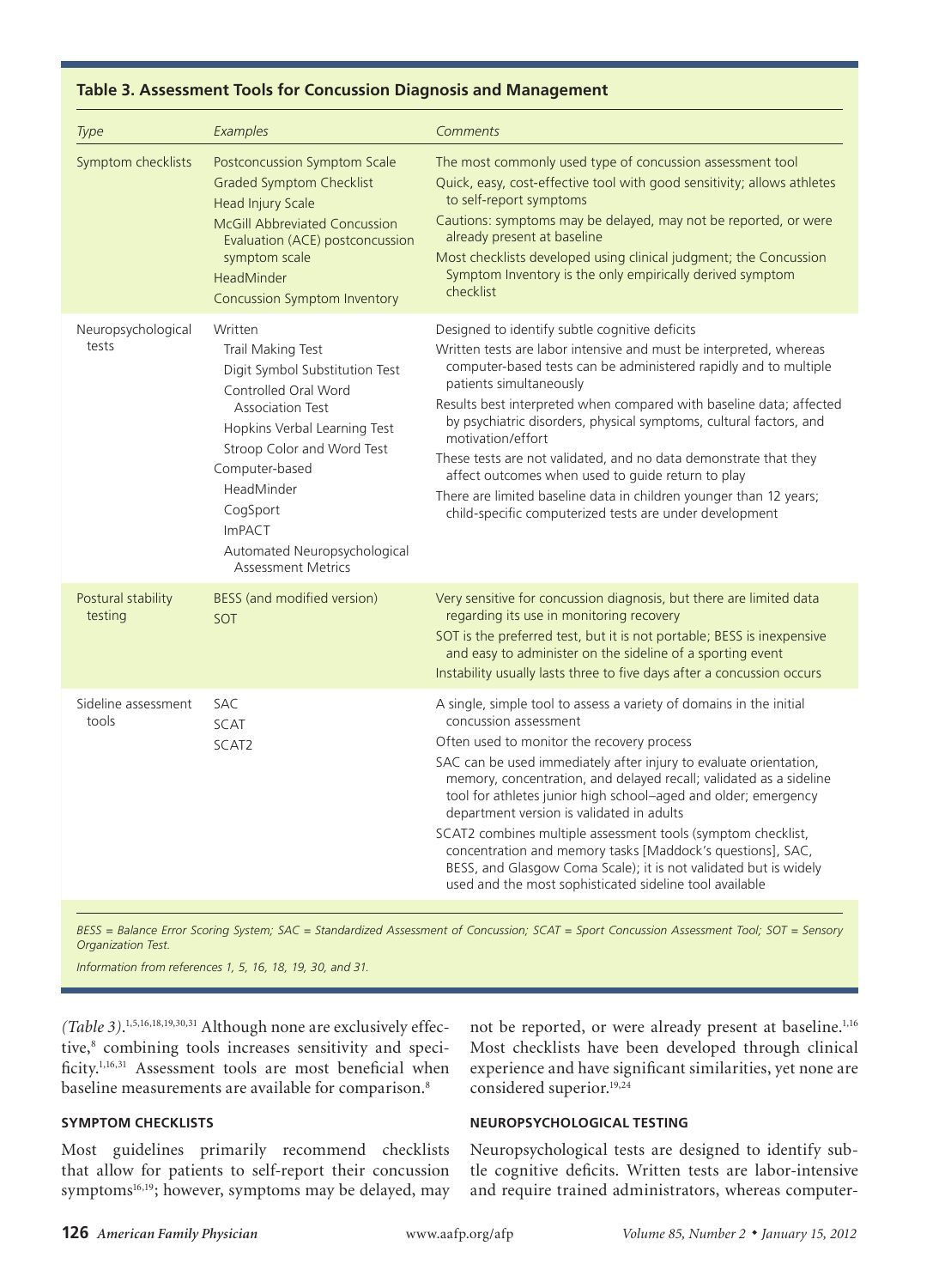| Type                          | Examples                                                                                                                                                                                                                                                                                                  | Comments                                                                                                                                                                                                                                                                                                                                                                                                                                                                                                                                                                                                                                                          |
|-------------------------------|-----------------------------------------------------------------------------------------------------------------------------------------------------------------------------------------------------------------------------------------------------------------------------------------------------------|-------------------------------------------------------------------------------------------------------------------------------------------------------------------------------------------------------------------------------------------------------------------------------------------------------------------------------------------------------------------------------------------------------------------------------------------------------------------------------------------------------------------------------------------------------------------------------------------------------------------------------------------------------------------|
| Symptom checklists            | Postconcussion Symptom Scale<br><b>Graded Symptom Checklist</b><br><b>Head Injury Scale</b><br><b>McGill Abbreviated Concussion</b><br>Evaluation (ACE) postconcussion<br>symptom scale<br>HeadMinder<br>Concussion Symptom Inventory                                                                     | The most commonly used type of concussion assessment tool<br>Quick, easy, cost-effective tool with good sensitivity; allows athletes<br>to self-report symptoms<br>Cautions: symptoms may be delayed, may not be reported, or were<br>already present at baseline<br>Most checklists developed using clinical judgment; the Concussion<br>Symptom Inventory is the only empirically derived symptom<br>checklist                                                                                                                                                                                                                                                  |
| Neuropsychological<br>tests   | Written<br>Trail Making Test<br>Digit Symbol Substitution Test<br>Controlled Oral Word<br><b>Association Test</b><br>Hopkins Verbal Learning Test<br>Stroop Color and Word Test<br>Computer-based<br>HeadMinder<br>CogSport<br><b>ImPACT</b><br>Automated Neuropsychological<br><b>Assessment Metrics</b> | Designed to identify subtle cognitive deficits<br>Written tests are labor intensive and must be interpreted, whereas<br>computer-based tests can be administered rapidly and to multiple<br>patients simultaneously<br>Results best interpreted when compared with baseline data; affected<br>by psychiatric disorders, physical symptoms, cultural factors, and<br>motivation/effort<br>These tests are not validated, and no data demonstrate that they<br>affect outcomes when used to guide return to play<br>There are limited baseline data in children younger than 12 years;<br>child-specific computerized tests are under development                   |
| Postural stability<br>testing | BESS (and modified version)<br>SOT                                                                                                                                                                                                                                                                        | Very sensitive for concussion diagnosis, but there are limited data<br>regarding its use in monitoring recovery<br>SOT is the preferred test, but it is not portable; BESS is inexpensive<br>and easy to administer on the sideline of a sporting event<br>Instability usually lasts three to five days after a concussion occurs                                                                                                                                                                                                                                                                                                                                 |
| Sideline assessment<br>tools  | <b>SAC</b><br><b>SCAT</b><br>SCAT2                                                                                                                                                                                                                                                                        | A single, simple tool to assess a variety of domains in the initial<br>concussion assessment<br>Often used to monitor the recovery process<br>SAC can be used immediately after injury to evaluate orientation,<br>memory, concentration, and delayed recall; validated as a sideline<br>tool for athletes junior high school-aged and older; emergency<br>department version is validated in adults<br>SCAT2 combines multiple assessment tools (symptom checklist,<br>concentration and memory tasks [Maddock's questions], SAC,<br>BESS, and Glasgow Coma Scale); it is not validated but is widely<br>used and the most sophisticated sideline tool available |

# **Table 3. Assessment Tools for Concussion Diagnosis and Management**

**Concussion**

*BESS = Balance Error Scoring System; SAC = Standardized Assessment of Concussion; SCAT = Sport Concussion Assessment Tool; SOT = Sensory Organization Test.*

*Information from references 1, 5, 16, 18, 19, 30, and 31.*

*(Table 3)*. 1,5,16,18,19,30,31 Although none are exclusively effective,<sup>8</sup> combining tools increases sensitivity and specificity.<sup>1,16,31</sup> Assessment tools are most beneficial when baseline measurements are available for comparison.<sup>8</sup>

not be reported, or were already present at baseline.<sup>1,16</sup> Most checklists have been developed through clinical experience and have significant similarities, yet none are considered superior.<sup>19,24</sup>

# **SYMPTOM CHECKLISTS**

Most guidelines primarily recommend checklists that allow for patients to self-report their concussion symptoms<sup>16,19</sup>; however, symptoms may be delayed, may

# **NEUROPSYCHOLOGICAL TESTING**

Neuropsychological tests are designed to identify subtle cognitive deficits. Written tests are labor-intensive and require trained administrators, whereas computer-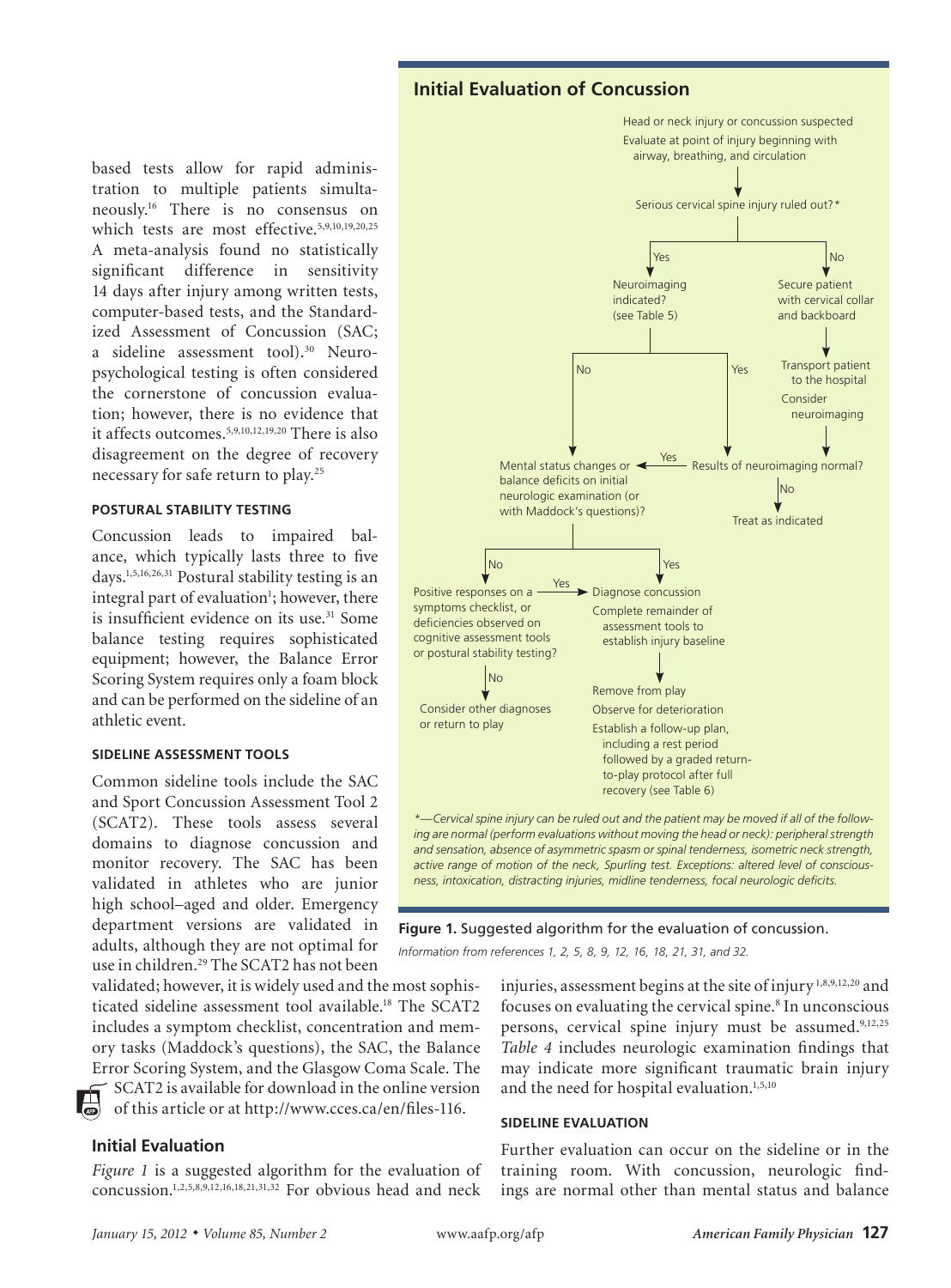# **Initial Evaluation of Concussion**

based tests allow for rapid administration to multiple patients simultaneously.16 There is no consensus on which tests are most effective.5,9,10,19,20,25 A meta-analysis found no statistically significant difference in sensitivity 14 days after injury among written tests, computer-based tests, and the Standardized Assessment of Concussion (SAC; a sideline assessment tool).<sup>30</sup> Neuropsychological testing is often considered the cornerstone of concussion evaluation; however, there is no evidence that it affects outcomes.5,9,10,12,19,20 There is also disagreement on the degree of recovery necessary for safe return to play.25

#### **POSTURAL STABILITY TESTING**

Concussion leads to impaired balance, which typically lasts three to five days.1,5,16,26,31 Postural stability testing is an integral part of evaluation<sup>1</sup>; however, there is insufficient evidence on its use.<sup>31</sup> Some balance testing requires sophisticated equipment; however, the Balance Error Scoring System requires only a foam block and can be performed on the sideline of an athletic event.

#### **SIDELINE ASSESSMENT TOOLS**

Common sideline tools include the SAC and Sport Concussion Assessment Tool 2 (SCAT2). These tools assess several domains to diagnose concussion and monitor recovery. The SAC has been validated in athletes who are junior high school–aged and older. Emergency department versions are validated in adults, although they are not optimal for use in children.<sup>29</sup> The SCAT2 has not been

validated; however, it is widely used and the most sophisticated sideline assessment tool available.18 The SCAT2 includes a symptom checklist, concentration and memory tasks (Maddock's questions), the SAC, the Balance Error Scoring System, and the Glasgow Coma Scale. The SCAT2 is available for download in the online version

of this article or at http://www.cces.ca/en/files-116.

#### **Initial Evaluation**

*Figure 1* is a suggested algorithm for the evaluation of concussion.1,2,5,8,9,12,16,18,21,31,32 For obvious head and neck



**Concussion**

**Figure 1.** Suggested algorithm for the evaluation of concussion.

*active range of motion of the neck, Spurling test. Exceptions: altered level of consciousness, intoxication, distracting injuries, midline tenderness, focal neurologic deficits.* 

*Information from references 1, 2, 5, 8, 9, 12, 16, 18, 21, 31, and 32.*

injuries, assessment begins at the site of injury 1,8,9,12,20 and focuses on evaluating the cervical spine.<sup>8</sup> In unconscious persons, cervical spine injury must be assumed.<sup>9,12,25</sup> *Table 4* includes neurologic examination findings that may indicate more significant traumatic brain injury and the need for hospital evaluation.<sup>1,5,10</sup>

#### **SIDELINE EVALUATION**

Further evaluation can occur on the sideline or in the training room. With concussion, neurologic findings are normal other than mental status and balance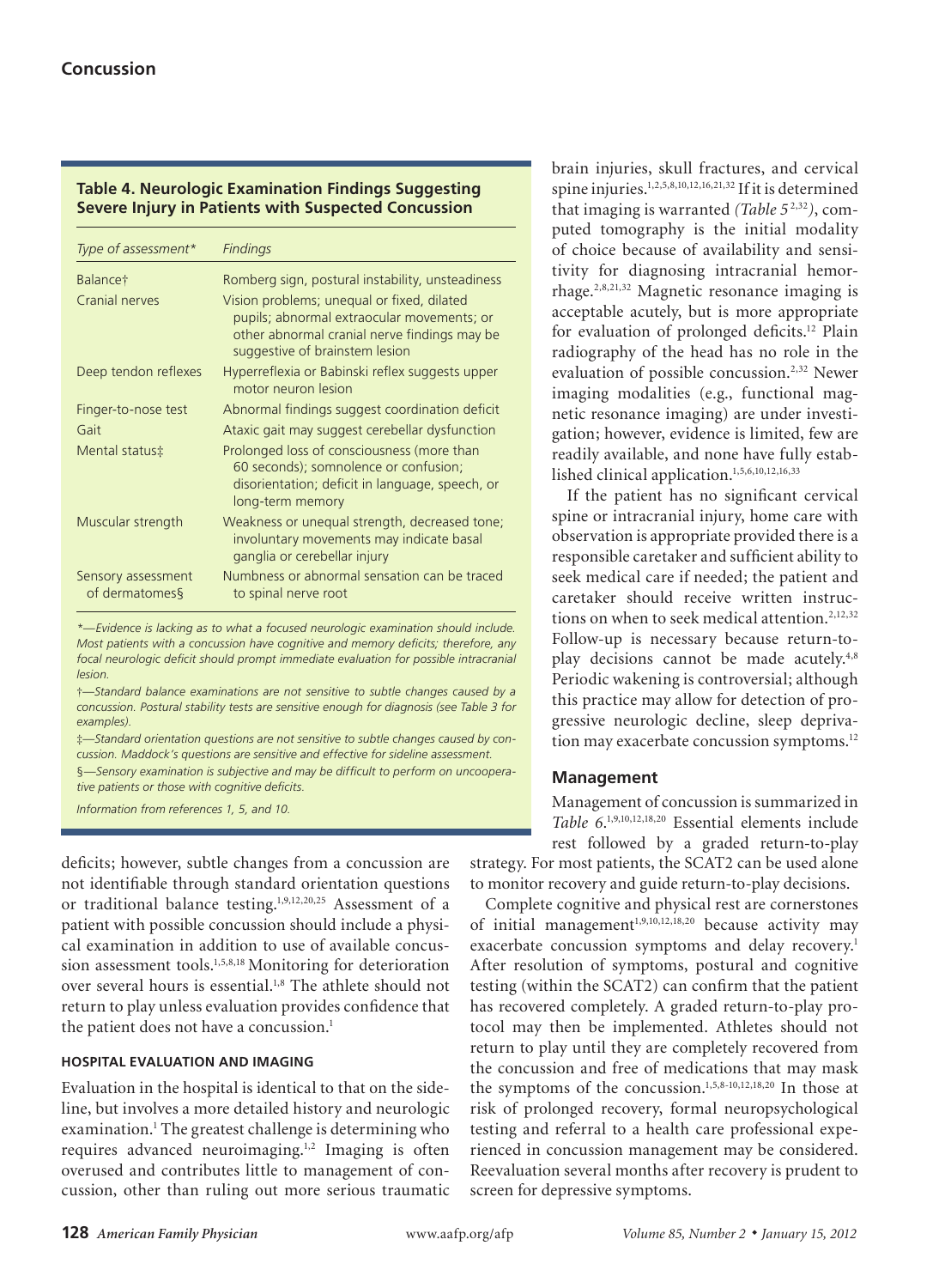## **Table 4. Neurologic Examination Findings Suggesting Severe Injury in Patients with Suspected Concussion**

| Type of assessment*                  | <b>Findings</b>                                                                                                                                                            |
|--------------------------------------|----------------------------------------------------------------------------------------------------------------------------------------------------------------------------|
| Balance†                             | Romberg sign, postural instability, unsteadiness                                                                                                                           |
| Cranial nerves                       | Vision problems; unequal or fixed, dilated<br>pupils; abnormal extraocular movements; or<br>other abnormal cranial nerve findings may be<br>suggestive of brainstem lesion |
| Deep tendon reflexes                 | Hyperreflexia or Babinski reflex suggests upper<br>motor neuron lesion                                                                                                     |
| Finger-to-nose test                  | Abnormal findings suggest coordination deficit                                                                                                                             |
| Gait                                 | Ataxic gait may suggest cerebellar dysfunction                                                                                                                             |
| Mental status‡                       | Prolonged loss of consciousness (more than<br>60 seconds); somnolence or confusion;<br>disorientation; deficit in language, speech, or<br>long-term memory                 |
| Muscular strength                    | Weakness or unequal strength, decreased tone;<br>involuntary movements may indicate basal<br>ganglia or cerebellar injury                                                  |
| Sensory assessment<br>of dermatomes§ | Numbness or abnormal sensation can be traced<br>to spinal nerve root                                                                                                       |

*\*—Evidence is lacking as to what a focused neurologic examination should include. Most patients with a concussion have cognitive and memory deficits; therefore, any focal neurologic deficit should prompt immediate evaluation for possible intracranial lesion.*

†*—Standard balance examinations are not sensitive to subtle changes caused by a concussion. Postural stability tests are sensitive enough for diagnosis (see Table 3 for examples).*

‡*—Standard orientation questions are not sensitive to subtle changes caused by concussion. Maddock's questions are sensitive and effective for sideline assessment.*  §*—Sensory examination is subjective and may be difficult to perform on uncooperative patients or those with cognitive deficits.*

*Information from references 1, 5, and 10.*

deficits; however, subtle changes from a concussion are not identifiable through standard orientation questions or traditional balance testing.1,9,12,20,25 Assessment of a patient with possible concussion should include a physical examination in addition to use of available concussion assessment tools.<sup>1,5,8,18</sup> Monitoring for deterioration over several hours is essential.1,8 The athlete should not return to play unless evaluation provides confidence that the patient does not have a concussion.<sup>1</sup>

## **HOSPITAL EVALUATION AND IMAGING**

Evaluation in the hospital is identical to that on the sideline, but involves a more detailed history and neurologic examination.<sup>1</sup> The greatest challenge is determining who requires advanced neuroimaging.<sup>1,2</sup> Imaging is often overused and contributes little to management of concussion, other than ruling out more serious traumatic

brain injuries, skull fractures, and cervical spine injuries.1,2,5,8,10,12,16,21,32 If it is determined that imaging is warranted *(Table 5* 2,32*)*, computed tomography is the initial modality of choice because of availability and sensitivity for diagnosing intracranial hemorrhage.2,8,21,32 Magnetic resonance imaging is acceptable acutely, but is more appropriate for evaluation of prolonged deficits.12 Plain radiography of the head has no role in the evaluation of possible concussion.<sup>2,32</sup> Newer imaging modalities (e.g., functional magnetic resonance imaging) are under investigation; however, evidence is limited, few are readily available, and none have fully established clinical application.1,5,6,10,12,16,33

If the patient has no significant cervical spine or intracranial injury, home care with observation is appropriate provided there is a responsible caretaker and sufficient ability to seek medical care if needed; the patient and caretaker should receive written instructions on when to seek medical attention.<sup>2,12,32</sup> Follow-up is necessary because return-toplay decisions cannot be made acutely.<sup>4,8</sup> Periodic wakening is controversial; although this practice may allow for detection of progressive neurologic decline, sleep deprivation may exacerbate concussion symptoms.<sup>12</sup>

# **Management**

Management of concussion is summarized in Table 6.<sup>1,9,10,12,18,20</sup> Essential elements include rest followed by a graded return-to-play

strategy. For most patients, the SCAT2 can be used alone to monitor recovery and guide return-to-play decisions.

Complete cognitive and physical rest are cornerstones of initial management<sup>1,9,10,12,18,20</sup> because activity may exacerbate concussion symptoms and delay recovery.<sup>1</sup> After resolution of symptoms, postural and cognitive testing (within the SCAT2) can confirm that the patient has recovered completely. A graded return-to-play protocol may then be implemented. Athletes should not return to play until they are completely recovered from the concussion and free of medications that may mask the symptoms of the concussion.1,5,8-10,12,18,20 In those at risk of prolonged recovery, formal neuropsychological testing and referral to a health care professional experienced in concussion management may be considered. Reevaluation several months after recovery is prudent to screen for depressive symptoms.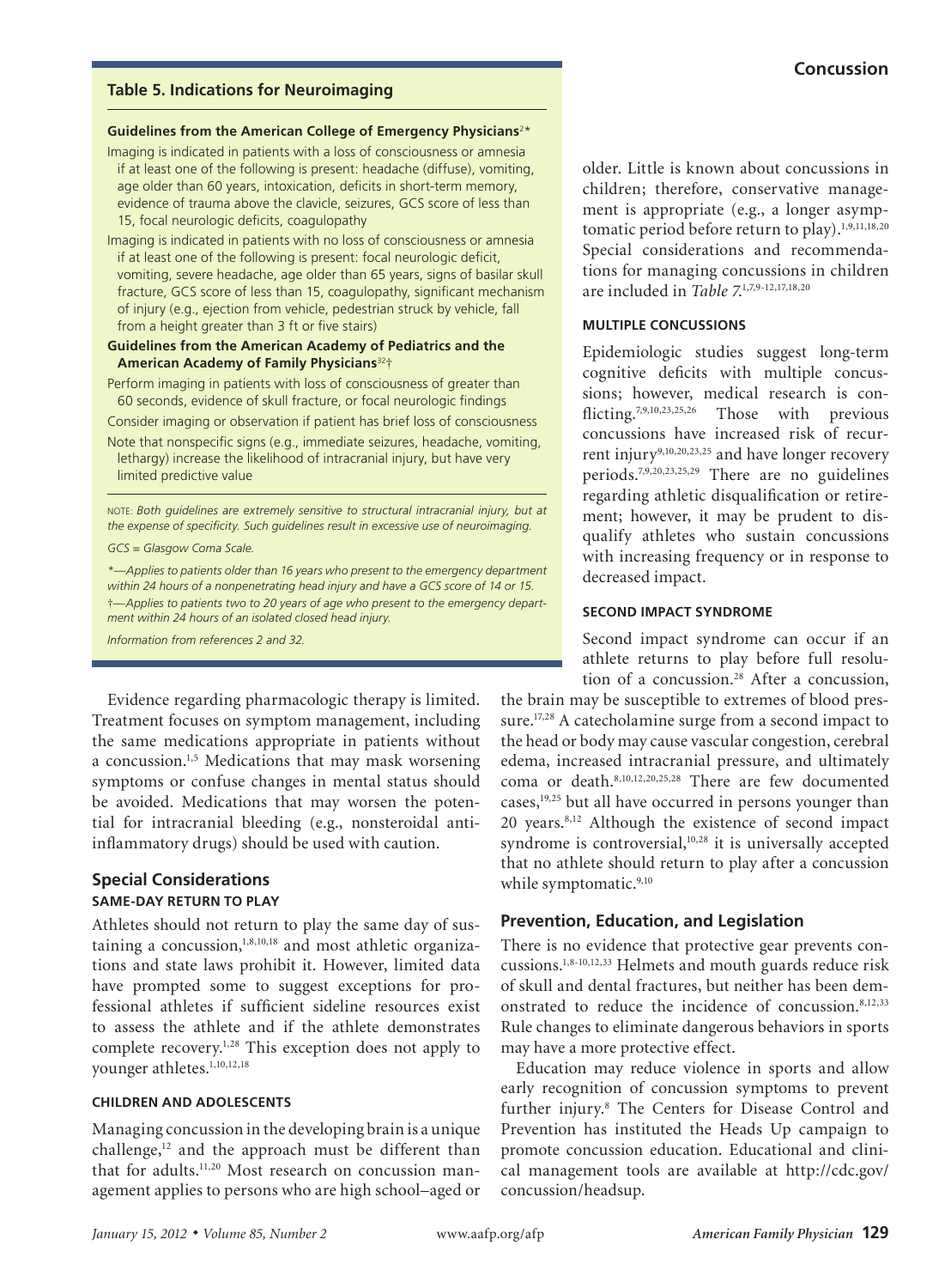## **Table 5. Indications for Neuroimaging**

#### **Guidelines from the American College of Emergency Physicians**<sup>2</sup> \*

- Imaging is indicated in patients with a loss of consciousness or amnesia if at least one of the following is present: headache (diffuse), vomiting, age older than 60 years, intoxication, deficits in short-term memory, evidence of trauma above the clavicle, seizures, GCS score of less than 15, focal neurologic deficits, coagulopathy
- Imaging is indicated in patients with no loss of consciousness or amnesia if at least one of the following is present: focal neurologic deficit, vomiting, severe headache, age older than 65 years, signs of basilar skull fracture, GCS score of less than 15, coagulopathy, significant mechanism of injury (e.g., ejection from vehicle, pedestrian struck by vehicle, fall from a height greater than 3 ft or five stairs)

#### **Guidelines from the American Academy of Pediatrics and the American Academy of Family Physicians**<sup>32</sup>†

- Perform imaging in patients with loss of consciousness of greater than 60 seconds, evidence of skull fracture, or focal neurologic findings
- Consider imaging or observation if patient has brief loss of consciousness Note that nonspecific signs (e.g., immediate seizures, headache, vomiting,
- lethargy) increase the likelihood of intracranial injury, but have very limited predictive value

NOTE: *Both guidelines are extremely sensitive to structural intracranial injury, but at the expense of specificity. Such guidelines result in excessive use of neuroimaging.*

#### *GCS = Glasgow Coma Scale.*

*\*—Applies to patients older than 16 years who present to the emergency department within 24 hours of a nonpenetrating head injury and have a GCS score of 14 or 15.*  †*—Applies to patients two to 20 years of age who present to the emergency department within 24 hours of an isolated closed head injury.*

*Information from references 2 and 32.*

Evidence regarding pharmacologic therapy is limited. Treatment focuses on symptom management, including the same medications appropriate in patients without a concussion.<sup>1,5</sup> Medications that may mask worsening symptoms or confuse changes in mental status should be avoided. Medications that may worsen the potential for intracranial bleeding (e.g., nonsteroidal antiinflammatory drugs) should be used with caution.

## **Special Considerations SAME-DAY RETURN TO PLAY**

Athletes should not return to play the same day of sustaining a concussion, $1,8,10,18$  and most athletic organizations and state laws prohibit it. However, limited data have prompted some to suggest exceptions for professional athletes if sufficient sideline resources exist to assess the athlete and if the athlete demonstrates complete recovery.1,28 This exception does not apply to younger athletes.<sup>1,10,12,18</sup>

## **CHILDREN AND ADOLESCENTS**

Managing concussion in the developing brain is a unique challenge, $12$  and the approach must be different than that for adults.<sup>11,20</sup> Most research on concussion management applies to persons who are high school–aged or older. Little is known about concussions in children; therefore, conservative management is appropriate (e.g., a longer asymptomatic period before return to play).<sup>1,9,11,18,20</sup> Special considerations and recommendations for managing concussions in children are included in *Table 7*. 1,7,9-12,17,18,20

#### **MULTIPLE CONCUSSIONS**

Epidemiologic studies suggest long-term cognitive deficits with multiple concussions; however, medical research is conflicting.<sup>7,9,10,23,25,26</sup> Those with previous concussions have increased risk of recurrent injury<sup>9,10,20,23,25</sup> and have longer recovery periods.7,9,20,23,25,29 There are no guidelines regarding athletic disqualification or retirement; however, it may be prudent to disqualify athletes who sustain concussions with increasing frequency or in response to decreased impact.

## **SECOND IMPACT SYNDROME**

Second impact syndrome can occur if an athlete returns to play before full resolution of a concussion.<sup>28</sup> After a concussion,

the brain may be susceptible to extremes of blood pressure.<sup>17,28</sup> A catecholamine surge from a second impact to the head or body may cause vascular congestion, cerebral edema, increased intracranial pressure, and ultimately coma or death.8,10,12,20,25,28 There are few documented cases,<sup>19,25</sup> but all have occurred in persons younger than 20 years.8,12 Although the existence of second impact syndrome is controversial,<sup>10,28</sup> it is universally accepted that no athlete should return to play after a concussion while symptomatic.<sup>9,10</sup>

## **Prevention, Education, and Legislation**

There is no evidence that protective gear prevents concussions.1,8-10,12,33 Helmets and mouth guards reduce risk of skull and dental fractures, but neither has been demonstrated to reduce the incidence of concussion.8,12,33 Rule changes to eliminate dangerous behaviors in sports may have a more protective effect.

Education may reduce violence in sports and allow early recognition of concussion symptoms to prevent further injury.8 The Centers for Disease Control and Prevention has instituted the Heads Up campaign to promote concussion education. Educational and clinical management tools are available at http://cdc.gov/ concussion/headsup.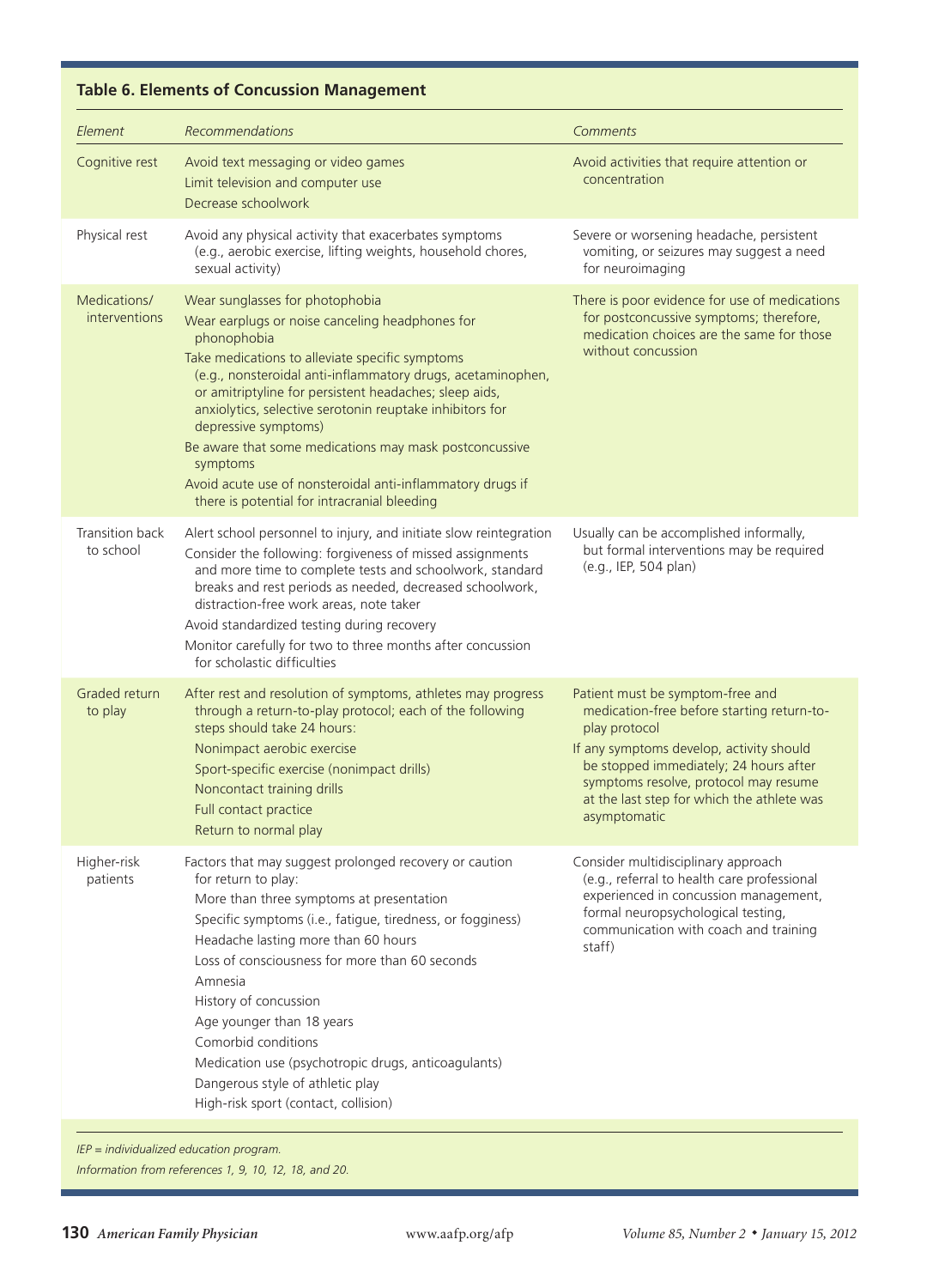# **Table 6. Elements of Concussion Management**

**Concussion**

| Element                       | <b>Recommendations</b>                                                                                                                                                                                                                                                                                                                                                                                                                                                                                                                                | Comments                                                                                                                                                                                                                                                                                     |
|-------------------------------|-------------------------------------------------------------------------------------------------------------------------------------------------------------------------------------------------------------------------------------------------------------------------------------------------------------------------------------------------------------------------------------------------------------------------------------------------------------------------------------------------------------------------------------------------------|----------------------------------------------------------------------------------------------------------------------------------------------------------------------------------------------------------------------------------------------------------------------------------------------|
| Cognitive rest                | Avoid text messaging or video games<br>Limit television and computer use<br>Decrease schoolwork                                                                                                                                                                                                                                                                                                                                                                                                                                                       | Avoid activities that require attention or<br>concentration                                                                                                                                                                                                                                  |
| Physical rest                 | Avoid any physical activity that exacerbates symptoms<br>(e.g., aerobic exercise, lifting weights, household chores,<br>sexual activity)                                                                                                                                                                                                                                                                                                                                                                                                              | Severe or worsening headache, persistent<br>vomiting, or seizures may suggest a need<br>for neuroimaging                                                                                                                                                                                     |
| Medications/<br>interventions | Wear sunglasses for photophobia<br>Wear earplugs or noise canceling headphones for<br>phonophobia<br>Take medications to alleviate specific symptoms<br>(e.g., nonsteroidal anti-inflammatory drugs, acetaminophen,<br>or amitriptyline for persistent headaches; sleep aids,<br>anxiolytics, selective serotonin reuptake inhibitors for<br>depressive symptoms)<br>Be aware that some medications may mask postconcussive<br>symptoms<br>Avoid acute use of nonsteroidal anti-inflammatory drugs if<br>there is potential for intracranial bleeding | There is poor evidence for use of medications<br>for postconcussive symptoms; therefore,<br>medication choices are the same for those<br>without concussion                                                                                                                                  |
| Transition back<br>to school  | Alert school personnel to injury, and initiate slow reintegration<br>Consider the following: forgiveness of missed assignments<br>and more time to complete tests and schoolwork, standard<br>breaks and rest periods as needed, decreased schoolwork,<br>distraction-free work areas, note taker<br>Avoid standardized testing during recovery<br>Monitor carefully for two to three months after concussion<br>for scholastic difficulties                                                                                                          | Usually can be accomplished informally,<br>but formal interventions may be required<br>(e.g., IEP, 504 plan)                                                                                                                                                                                 |
| Graded return<br>to play      | After rest and resolution of symptoms, athletes may progress<br>through a return-to-play protocol; each of the following<br>steps should take 24 hours:<br>Nonimpact aerobic exercise<br>Sport-specific exercise (nonimpact drills)<br>Noncontact training drills<br>Full contact practice<br>Return to normal play                                                                                                                                                                                                                                   | Patient must be symptom-free and<br>medication-free before starting return-to-<br>play protocol<br>If any symptoms develop, activity should<br>be stopped immediately; 24 hours after<br>symptoms resolve, protocol may resume<br>at the last step for which the athlete was<br>asymptomatic |
| Higher-risk<br>patients       | Factors that may suggest prolonged recovery or caution<br>for return to play:<br>More than three symptoms at presentation<br>Specific symptoms (i.e., fatigue, tiredness, or fogginess)<br>Headache lasting more than 60 hours<br>Loss of consciousness for more than 60 seconds<br>Amnesia<br>History of concussion<br>Age younger than 18 years<br>Comorbid conditions<br>Medication use (psychotropic drugs, anticoagulants)<br>Dangerous style of athletic play<br>High-risk sport (contact, collision)                                           | Consider multidisciplinary approach<br>(e.g., referral to health care professional<br>experienced in concussion management,<br>formal neuropsychological testing,<br>communication with coach and training<br>staff)                                                                         |

*IEP = individualized education program.*

*Information from references 1, 9, 10, 12, 18, and 20.*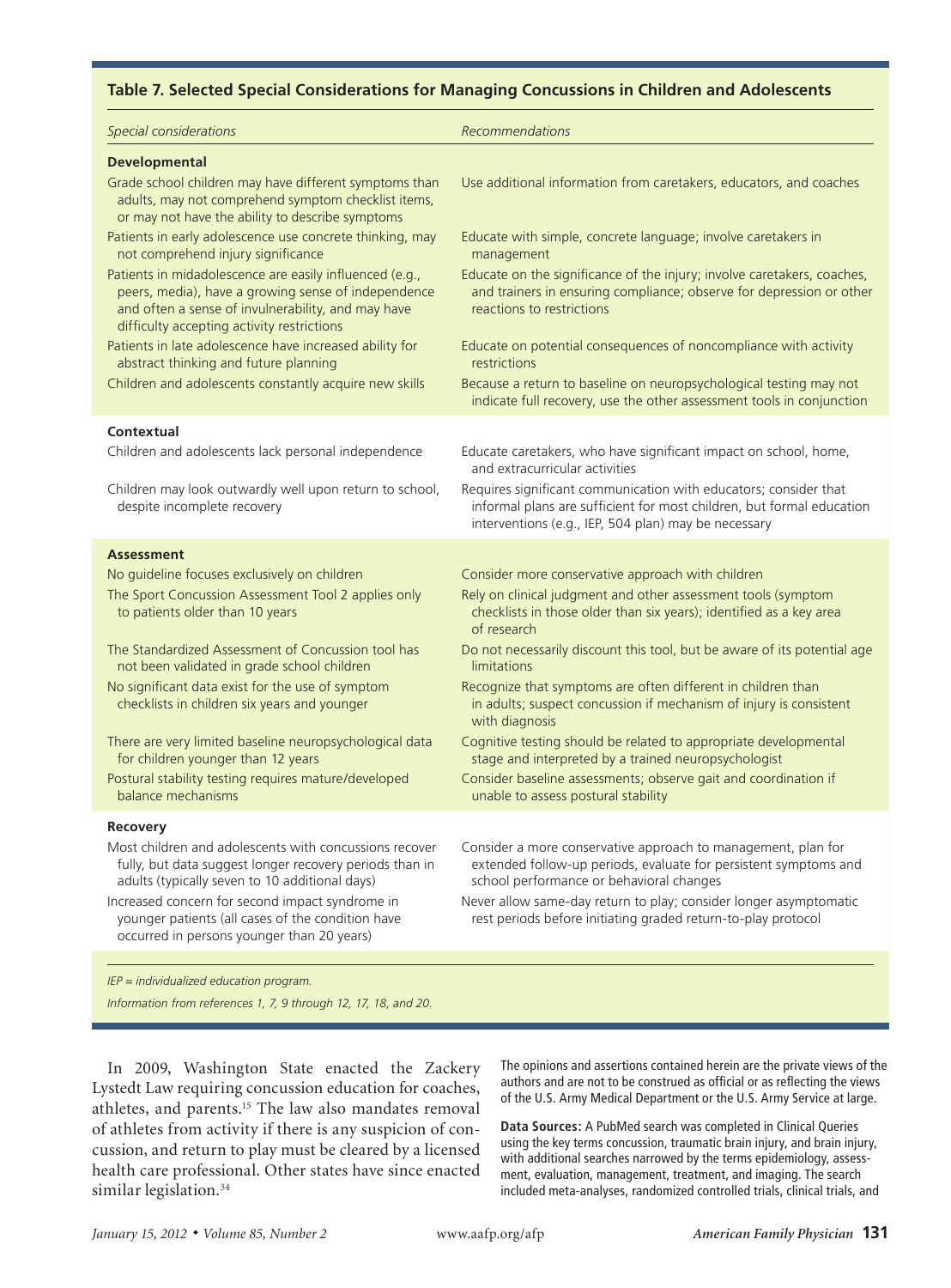#### **Table 7. Selected Special Considerations for Managing Concussions in Children and Adolescents**

| Special considerations                                                                                                                                                                                             | Recommendations                                                                                                                                                                                   |
|--------------------------------------------------------------------------------------------------------------------------------------------------------------------------------------------------------------------|---------------------------------------------------------------------------------------------------------------------------------------------------------------------------------------------------|
| <b>Developmental</b>                                                                                                                                                                                               |                                                                                                                                                                                                   |
| Grade school children may have different symptoms than<br>adults, may not comprehend symptom checklist items,<br>or may not have the ability to describe symptoms                                                  | Use additional information from caretakers, educators, and coaches                                                                                                                                |
| Patients in early adolescence use concrete thinking, may<br>not comprehend injury significance                                                                                                                     | Educate with simple, concrete language; involve caretakers in<br>management                                                                                                                       |
| Patients in midadolescence are easily influenced (e.g.,<br>peers, media), have a growing sense of independence<br>and often a sense of invulnerability, and may have<br>difficulty accepting activity restrictions | Educate on the significance of the injury; involve caretakers, coaches,<br>and trainers in ensuring compliance; observe for depression or other<br>reactions to restrictions                      |
| Patients in late adolescence have increased ability for<br>abstract thinking and future planning                                                                                                                   | Educate on potential consequences of noncompliance with activity<br>restrictions                                                                                                                  |
| Children and adolescents constantly acquire new skills                                                                                                                                                             | Because a return to baseline on neuropsychological testing may not<br>indicate full recovery, use the other assessment tools in conjunction                                                       |
| Contextual                                                                                                                                                                                                         |                                                                                                                                                                                                   |
| Children and adolescents lack personal independence                                                                                                                                                                | Educate caretakers, who have significant impact on school, home,<br>and extracurricular activities                                                                                                |
| Children may look outwardly well upon return to school,<br>despite incomplete recovery                                                                                                                             | Requires significant communication with educators; consider that<br>informal plans are sufficient for most children, but formal education<br>interventions (e.g., IEP, 504 plan) may be necessary |
| <b>Assessment</b>                                                                                                                                                                                                  |                                                                                                                                                                                                   |
| No guideline focuses exclusively on children                                                                                                                                                                       | Consider more conservative approach with children                                                                                                                                                 |
| The Sport Concussion Assessment Tool 2 applies only<br>to patients older than 10 years                                                                                                                             | Rely on clinical judgment and other assessment tools (symptom<br>checklists in those older than six years); identified as a key area<br>of research                                               |
| The Standardized Assessment of Concussion tool has<br>not been validated in grade school children                                                                                                                  | Do not necessarily discount this tool, but be aware of its potential age<br>limitations                                                                                                           |
| No significant data exist for the use of symptom<br>checklists in children six years and younger                                                                                                                   | Recognize that symptoms are often different in children than<br>in adults; suspect concussion if mechanism of injury is consistent<br>with diagnosis                                              |
| There are very limited baseline neuropsychological data<br>for children younger than 12 years                                                                                                                      | Cognitive testing should be related to appropriate developmental<br>stage and interpreted by a trained neuropsychologist                                                                          |
| Postural stability testing requires mature/developed<br>balance mechanisms                                                                                                                                         | Consider baseline assessments; observe gait and coordination if<br>unable to assess postural stability                                                                                            |
| Recovery                                                                                                                                                                                                           |                                                                                                                                                                                                   |
| Most children and adolescents with concussions recover<br>fully, but data suggest longer recovery periods than in<br>adults (typically seven to 10 additional days)                                                | Consider a more conservative approach to management, plan for<br>extended follow-up periods, evaluate for persistent symptoms and<br>school performance or behavioral changes                     |
| Increased concern for second impact syndrome in<br>younger patients (all cases of the condition have<br>occurred in persons younger than 20 years)                                                                 | Never allow same-day return to play; consider longer asymptomatic<br>rest periods before initiating graded return-to-play protocol                                                                |
|                                                                                                                                                                                                                    |                                                                                                                                                                                                   |

*IEP = individualized education program.*

*Information from references 1, 7, 9 through 12, 17, 18, and 20.*

In 2009, Washington State enacted the Zackery Lystedt Law requiring concussion education for coaches, athletes, and parents.15 The law also mandates removal of athletes from activity if there is any suspicion of concussion, and return to play must be cleared by a licensed health care professional. Other states have since enacted similar legislation.<sup>34</sup>

The opinions and assertions contained herein are the private views of the authors and are not to be construed as official or as reflecting the views of the U.S. Army Medical Department or the U.S. Army Service at large.

**Data Sources:** A PubMed search was completed in Clinical Queries using the key terms concussion, traumatic brain injury, and brain injury, with additional searches narrowed by the terms epidemiology, assessment, evaluation, management, treatment, and imaging. The search included meta-analyses, randomized controlled trials, clinical trials, and

**Concussion**